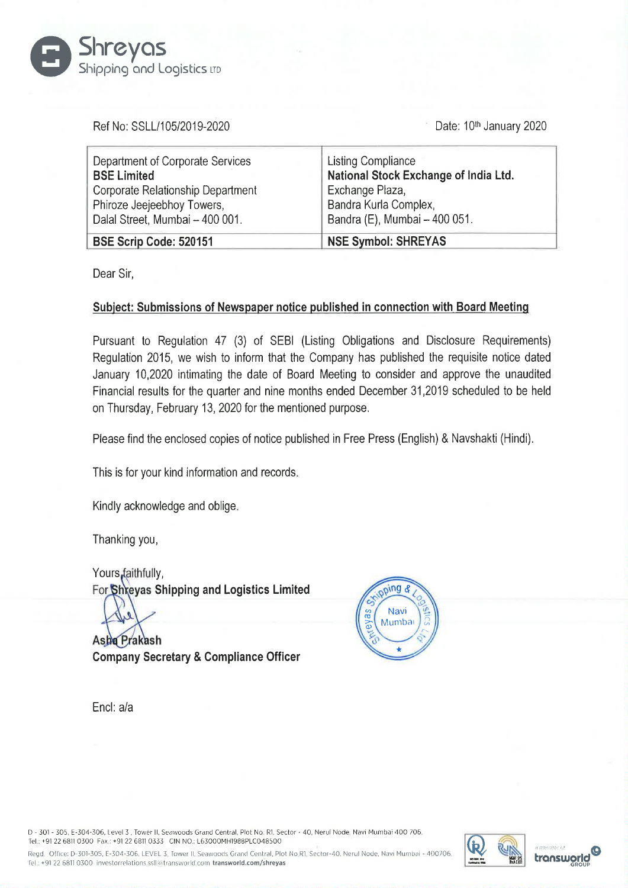

| ihreyas<br>hipping and Logistics LTD                                                               |                                                                           |  |
|----------------------------------------------------------------------------------------------------|---------------------------------------------------------------------------|--|
| Ref No: SSLL/105/2019-2020                                                                         | Date: 10th January 2020                                                   |  |
| Department of Corporate Services<br><b>BSE Limited</b>                                             | <b>Listing Compliance</b><br>National Stock Exchange of India Ltd.        |  |
| Corporate Relationship Department<br>Phiroze Jeejeebhoy Towers,<br>Dalal Street, Mumbai - 400 001. | Exchange Plaza,<br>Bandra Kurla Complex,<br>Bandra (E), Mumbai - 400 051. |  |

Dear Sir,

## Subject: Submissions of Newspaper notice published in connection with Board Meeting

Pursuant to Regulation 47 (3) of SEBI (Listing Obligations and Disclosure Requirements) Regulation 2015, we wish to inform that the Company has published the requisite notice dated January 10,2020 intimating the date of Board Meeting to consider and approve the unaudited Financial results for the quarter and nine months ended December 31,2019 scheduled to be held on Thursday, February 13, 2020 for the mentioned purpose.

Please find the enclosed copies of notice published in Free Press (English) & Navshakti (Hindi).

This is for your kind information and records.

Kindly acknowledge and oblige.

Thanking you,

Yours, faithfully, For Shreyas Shipping and Logistics Limited

Asha Prakash Company Secretary & Compliance Officer



Encl: a/a

D - 301 - 305, E-304-306, Level 3, Tower Il, Seawoods Grand Central, Plot No. R1, Sector - 40, Nerul Node. Navi Mumbai 400 706 Tel: +91 22 68110300 Fax: +91 22 68110333 CIN NO. L63000MH1988PLC048500

Regd, Office: D-301-305, E-304-306, LEVEL 3. Tower II, Seawoods Grand Central, Plot No.R1, Sector-40, Nerul Node, Navi Mumbai - 400706 WIX I | OO WIX | OO WIX | OO WIX | OO WIX | OO WIX I | OO WIX | OO WIX | OO WIX | OO WI [el; +91 22 6811 0300 investorrelations ssll@transworld.com transworld.com/shreyas



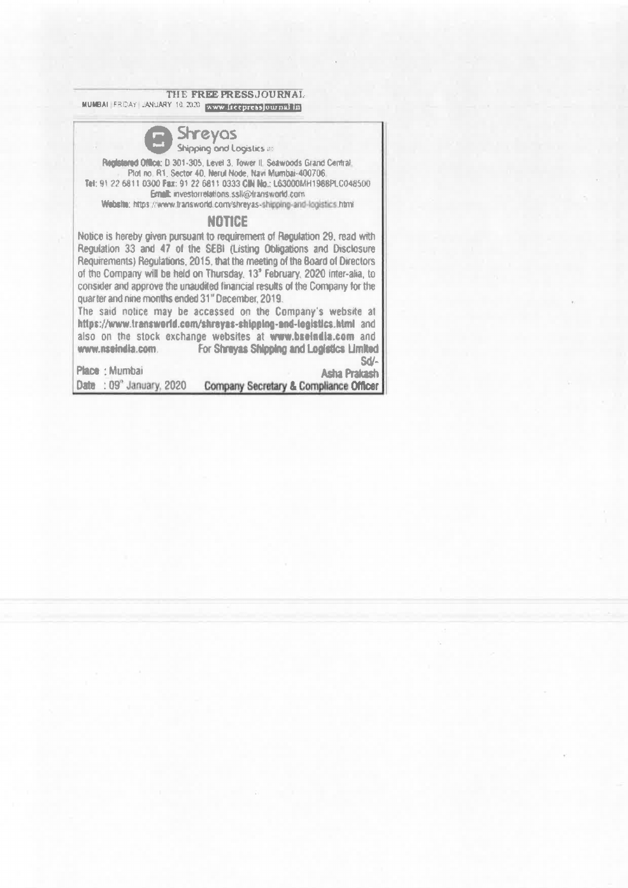THE FREE PRESSJOURNAL

THE FREE P MUMBAI FRIDAY LANUARY 16 2020 WWW. ITECPTEDS JOURNAL IN



Tet: 91 22 6811 0300 Fax: 91 22 687' 0333 CIN Ne.: LGGO00MH 1968PLC048500 Ernalt: investorrelations.sslk@dransworld.com

Website: https://www.transworld.com/shreyas-shipping-and-logistics.html

## NOTICE

Notice is hereby given pursuant to requirement of Regulation 29, read with Regulation 33 and 47 of the SEBI (Listing Obligations and Disclosure Requirements) Regulations, 2015, that tha meeting of the Board of Directors of tha Company will be held on Thursday, 13° February, 2020 inter-alia, to consider and approve the unaudéed financial results of the Company for the quarter and nine months ended 31" December, 2019. THE FREE PINUMBALLERDAY LANUARY 10.2020 **EXCEPT**<br> **Shipping ond**<br> **Prophetered Office: D 301-305, Level 3**<br> **Prophetered Office: D 301-305, Level 3**<br> **Propheter 40, Nent Empty Shipping ond**<br> **Propheter 40, Nent Empty Shipp** 

The said notice may be accessed on the Company's website at htips://www.transworld.com/shreyas-shipping-and-legistics.htm! and also on the stock exchange websites at www.bseindia.com and www.nseindia.com. For Shrayas Shipping and Logistics Limited Sd/-

Place : Mumbai **Asha Prakash** Date : 09" January, 2020 Company Secretary & Compliance Officer